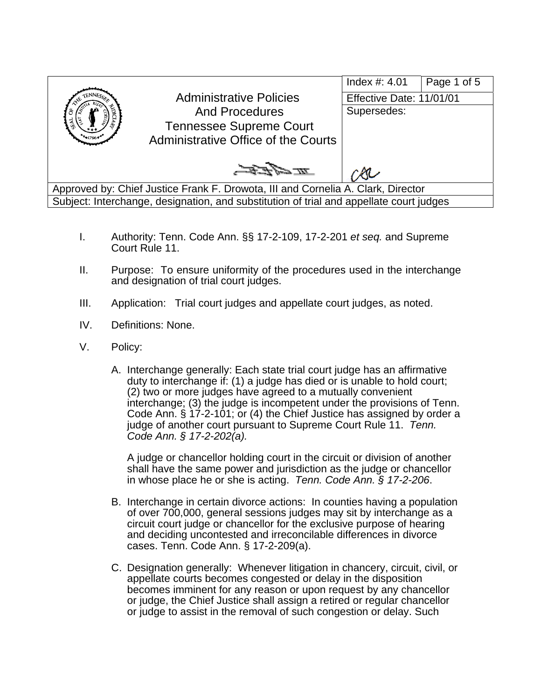

- I. Authority: Tenn. Code Ann. §§ 17-2-109, 17-2-201 *et seq.* and Supreme Court Rule 11.
- II. Purpose: To ensure uniformity of the procedures used in the interchange and designation of trial court judges.
- III. Application: Trial court judges and appellate court judges, as noted.
- IV. Definitions: None.
- V. Policy:
	- A. Interchange generally: Each state trial court judge has an affirmative duty to interchange if: (1) a judge has died or is unable to hold court; (2) two or more judges have agreed to a mutually convenient interchange; (3) the judge is incompetent under the provisions of Tenn. Code Ann. § 17-2-101; or (4) the Chief Justice has assigned by order a judge of another court pursuant to Supreme Court Rule 11. *Tenn. Code Ann. § 17-2-202(a).*

A judge or chancellor holding court in the circuit or division of another shall have the same power and jurisdiction as the judge or chancellor in whose place he or she is acting. *Tenn. Code Ann. § 17-2-206*.

- B. Interchange in certain divorce actions: In counties having a population of over 700,000, general sessions judges may sit by interchange as a circuit court judge or chancellor for the exclusive purpose of hearing and deciding uncontested and irreconcilable differences in divorce cases. Tenn. Code Ann. § 17-2-209(a).
- C. Designation generally: Whenever litigation in chancery, circuit, civil, or appellate courts becomes congested or delay in the disposition becomes imminent for any reason or upon request by any chancellor or judge, the Chief Justice shall assign a retired or regular chancellor or judge to assist in the removal of such congestion or delay. Such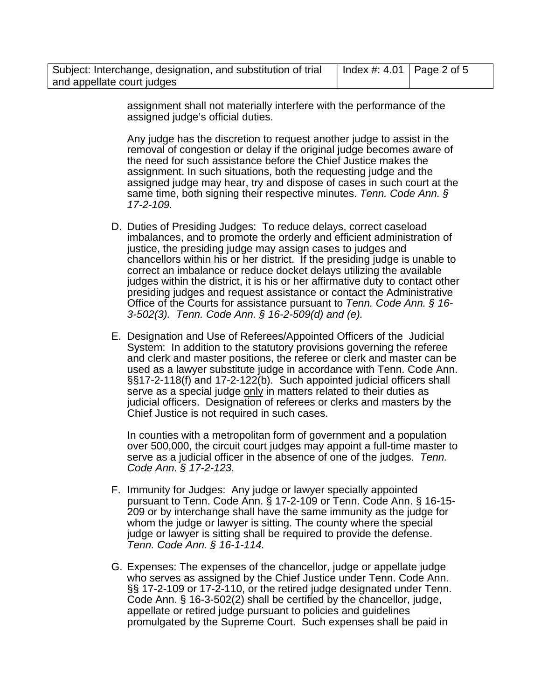| Subject: Interchange, designation, and substitution of trial | Index #: 4.01   Page 2 of 5 |  |
|--------------------------------------------------------------|-----------------------------|--|
| and appellate court judges                                   |                             |  |

assignment shall not materially interfere with the performance of the assigned judge's official duties.

Any judge has the discretion to request another judge to assist in the removal of congestion or delay if the original judge becomes aware of the need for such assistance before the Chief Justice makes the assignment. In such situations, both the requesting judge and the assigned judge may hear, try and dispose of cases in such court at the same time, both signing their respective minutes. *Tenn. Code Ann. § 17-2-109.*

- D. Duties of Presiding Judges: To reduce delays, correct caseload imbalances, and to promote the orderly and efficient administration of justice, the presiding judge may assign cases to judges and chancellors within his or her district. If the presiding judge is unable to correct an imbalance or reduce docket delays utilizing the available judges within the district, it is his or her affirmative duty to contact other presiding judges and request assistance or contact the Administrative Office of the Courts for assistance pursuant to *Tenn. Code Ann. § 16- 3-502(3). Tenn. Code Ann. § 16-2-509(d) and (e).*
- E. Designation and Use of Referees/Appointed Officers of the Judicial System: In addition to the statutory provisions governing the referee and clerk and master positions, the referee or clerk and master can be used as a lawyer substitute judge in accordance with Tenn. Code Ann. §§17-2-118(f) and 17-2-122(b). Such appointed judicial officers shall serve as a special judge only in matters related to their duties as judicial officers. Designation of referees or clerks and masters by the Chief Justice is not required in such cases.

In counties with a metropolitan form of government and a population over 500,000, the circuit court judges may appoint a full-time master to serve as a judicial officer in the absence of one of the judges. *Tenn. Code Ann. § 17-2-123.*

- F. Immunity for Judges: Any judge or lawyer specially appointed pursuant to Tenn. Code Ann. § 17-2-109 or Tenn. Code Ann. § 16-15- 209 or by interchange shall have the same immunity as the judge for whom the judge or lawyer is sitting. The county where the special judge or lawyer is sitting shall be required to provide the defense. *Tenn. Code Ann. § 16-1-114.*
- G. Expenses: The expenses of the chancellor, judge or appellate judge who serves as assigned by the Chief Justice under Tenn. Code Ann. §§ 17-2-109 or 17-2-110, or the retired judge designated under Tenn. Code Ann. § 16-3-502(2) shall be certified by the chancellor, judge, appellate or retired judge pursuant to policies and guidelines promulgated by the Supreme Court. Such expenses shall be paid in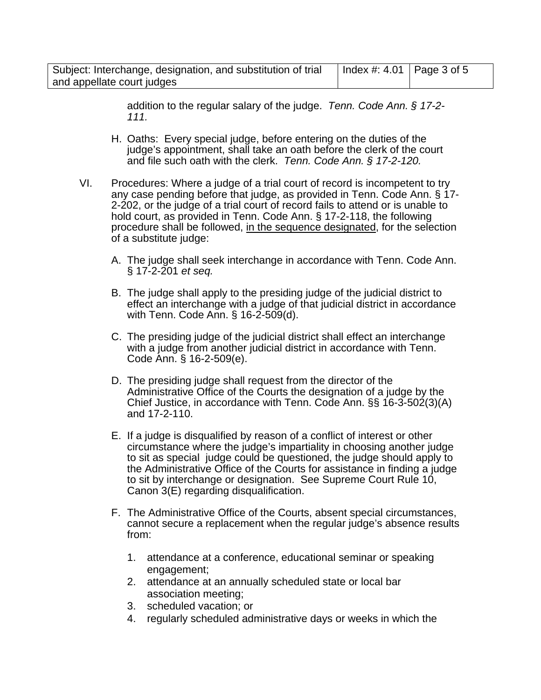| Subject: Interchange, designation, and substitution of trial | Index #: 4.01   Page 3 of 5 |  |
|--------------------------------------------------------------|-----------------------------|--|
| and appellate court judges                                   |                             |  |

addition to the regular salary of the judge. *Tenn. Code Ann. § 17-2- 111.* 

- H. Oaths: Every special judge, before entering on the duties of the judge's appointment, shall take an oath before the clerk of the court and file such oath with the clerk. *Tenn. Code Ann. § 17-2-120.*
- VI. Procedures: Where a judge of a trial court of record is incompetent to try any case pending before that judge, as provided in Tenn. Code Ann. § 17- 2-202, or the judge of a trial court of record fails to attend or is unable to hold court, as provided in Tenn. Code Ann. § 17-2-118, the following procedure shall be followed, in the sequence designated, for the selection of a substitute judge:
	- A. The judge shall seek interchange in accordance with Tenn. Code Ann. § 17-2-201 *et seq.*
	- B. The judge shall apply to the presiding judge of the judicial district to effect an interchange with a judge of that judicial district in accordance with Tenn. Code Ann. § 16-2-509(d).
	- C. The presiding judge of the judicial district shall effect an interchange with a judge from another judicial district in accordance with Tenn. Code Ann. § 16-2-509(e).
	- D. The presiding judge shall request from the director of the Administrative Office of the Courts the designation of a judge by the Chief Justice, in accordance with Tenn. Code Ann. §§ 16-3-502(3)(A) and 17-2-110.
	- E. If a judge is disqualified by reason of a conflict of interest or other circumstance where the judge's impartiality in choosing another judge to sit as special judge could be questioned, the judge should apply to the Administrative Office of the Courts for assistance in finding a judge to sit by interchange or designation. See Supreme Court Rule 10, Canon 3(E) regarding disqualification.
	- F. The Administrative Office of the Courts, absent special circumstances, cannot secure a replacement when the regular judge's absence results from:
		- 1. attendance at a conference, educational seminar or speaking engagement;
		- 2. attendance at an annually scheduled state or local bar association meeting;
		- 3. scheduled vacation; or
		- 4. regularly scheduled administrative days or weeks in which the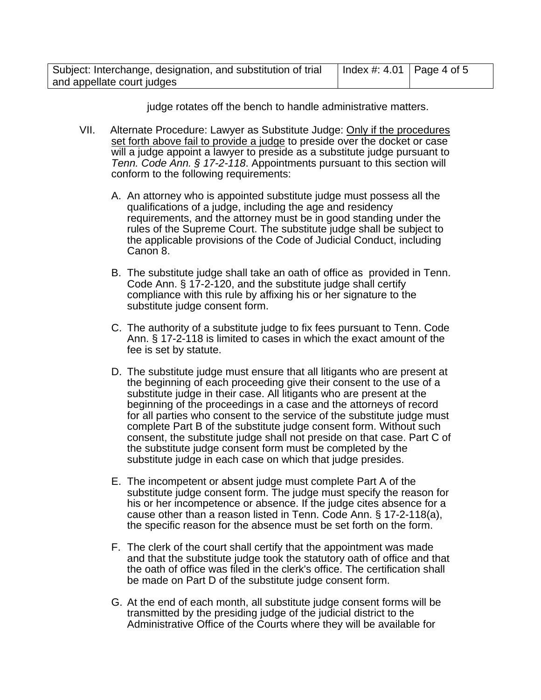| Subject: Interchange, designation, and substitution of trial | Index #: 4.01   Page 4 of 5 |  |
|--------------------------------------------------------------|-----------------------------|--|
| and appellate court judges                                   |                             |  |

judge rotates off the bench to handle administrative matters.

- VII. Alternate Procedure: Lawyer as Substitute Judge: Only if the procedures set forth above fail to provide a judge to preside over the docket or case will a judge appoint a lawyer to preside as a substitute judge pursuant to *Tenn. Code Ann. § 17-2-118*. Appointments pursuant to this section will conform to the following requirements:
	- A. An attorney who is appointed substitute judge must possess all the qualifications of a judge, including the age and residency requirements, and the attorney must be in good standing under the rules of the Supreme Court. The substitute judge shall be subject to the applicable provisions of the Code of Judicial Conduct, including Canon 8.
	- B. The substitute judge shall take an oath of office as provided in Tenn. Code Ann. § 17-2-120, and the substitute judge shall certify compliance with this rule by affixing his or her signature to the substitute judge consent form.
	- C. The authority of a substitute judge to fix fees pursuant to Tenn. Code Ann. § 17-2-118 is limited to cases in which the exact amount of the fee is set by statute.
	- D. The substitute judge must ensure that all litigants who are present at the beginning of each proceeding give their consent to the use of a substitute judge in their case. All litigants who are present at the beginning of the proceedings in a case and the attorneys of record for all parties who consent to the service of the substitute judge must complete Part B of the substitute judge consent form. Without such consent, the substitute judge shall not preside on that case. Part C of the substitute judge consent form must be completed by the substitute judge in each case on which that judge presides.
	- E. The incompetent or absent judge must complete Part A of the substitute judge consent form. The judge must specify the reason for his or her incompetence or absence. If the judge cites absence for a cause other than a reason listed in Tenn. Code Ann. § 17-2-118(a), the specific reason for the absence must be set forth on the form.
	- F. The clerk of the court shall certify that the appointment was made and that the substitute judge took the statutory oath of office and that the oath of office was filed in the clerk's office. The certification shall be made on Part D of the substitute judge consent form.
	- G. At the end of each month, all substitute judge consent forms will be transmitted by the presiding judge of the judicial district to the Administrative Office of the Courts where they will be available for